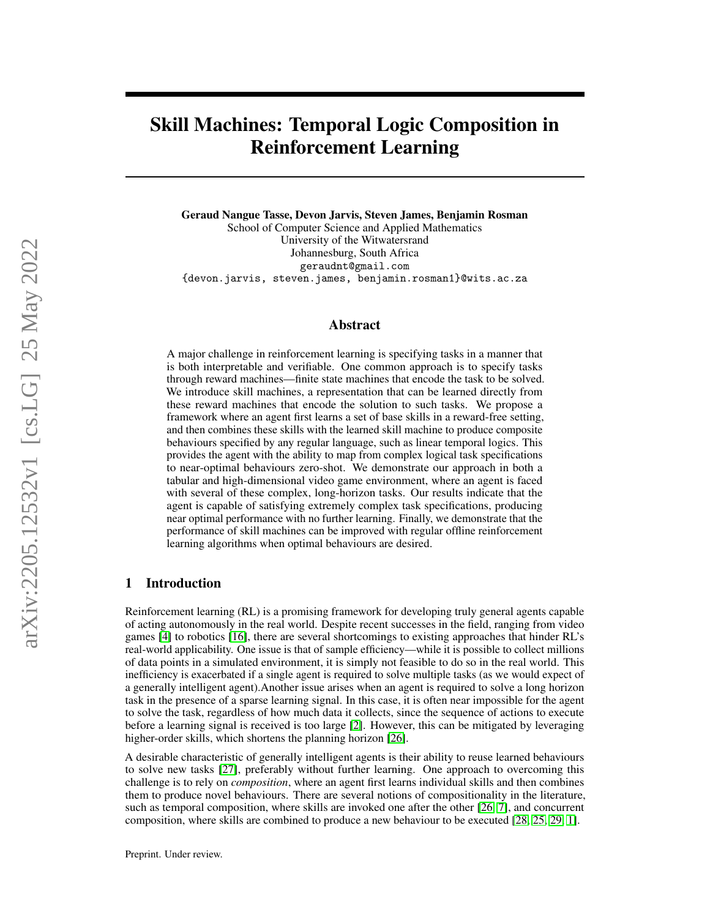# Skill Machines: Temporal Logic Composition in Reinforcement Learning

Geraud Nangue Tasse, Devon Jarvis, Steven James, Benjamin Rosman School of Computer Science and Applied Mathematics University of the Witwatersrand Johannesburg, South Africa geraudnt@gmail.com {devon.jarvis, steven.james, benjamin.rosman1}@wits.ac.za

# Abstract

A major challenge in reinforcement learning is specifying tasks in a manner that is both interpretable and verifiable. One common approach is to specify tasks through reward machines—finite state machines that encode the task to be solved. We introduce skill machines, a representation that can be learned directly from these reward machines that encode the solution to such tasks. We propose a framework where an agent first learns a set of base skills in a reward-free setting, and then combines these skills with the learned skill machine to produce composite behaviours specified by any regular language, such as linear temporal logics. This provides the agent with the ability to map from complex logical task specifications to near-optimal behaviours zero-shot. We demonstrate our approach in both a tabular and high-dimensional video game environment, where an agent is faced with several of these complex, long-horizon tasks. Our results indicate that the agent is capable of satisfying extremely complex task specifications, producing near optimal performance with no further learning. Finally, we demonstrate that the performance of skill machines can be improved with regular offline reinforcement learning algorithms when optimal behaviours are desired.

# 1 Introduction

Reinforcement learning (RL) is a promising framework for developing truly general agents capable of acting autonomously in the real world. Despite recent successes in the field, ranging from video games [\[4\]](#page-10-0) to robotics [\[16\]](#page-10-1), there are several shortcomings to existing approaches that hinder RL's real-world applicability. One issue is that of sample efficiency—while it is possible to collect millions of data points in a simulated environment, it is simply not feasible to do so in the real world. This inefficiency is exacerbated if a single agent is required to solve multiple tasks (as we would expect of a generally intelligent agent).Another issue arises when an agent is required to solve a long horizon task in the presence of a sparse learning signal. In this case, it is often near impossible for the agent to solve the task, regardless of how much data it collects, since the sequence of actions to execute before a learning signal is received is too large [\[2\]](#page-9-0). However, this can be mitigated by leveraging higher-order skills, which shortens the planning horizon [\[26\]](#page-11-0).

A desirable characteristic of generally intelligent agents is their ability to reuse learned behaviours to solve new tasks [\[27\]](#page-11-1), preferably without further learning. One approach to overcoming this challenge is to rely on *composition*, where an agent first learns individual skills and then combines them to produce novel behaviours. There are several notions of compositionality in the literature, such as temporal composition, where skills are invoked one after the other [\[26,](#page-11-0) [7\]](#page-10-2), and concurrent composition, where skills are combined to produce a new behaviour to be executed [\[28,](#page-11-2) [25,](#page-11-3) [29,](#page-11-4) [1\]](#page-9-1).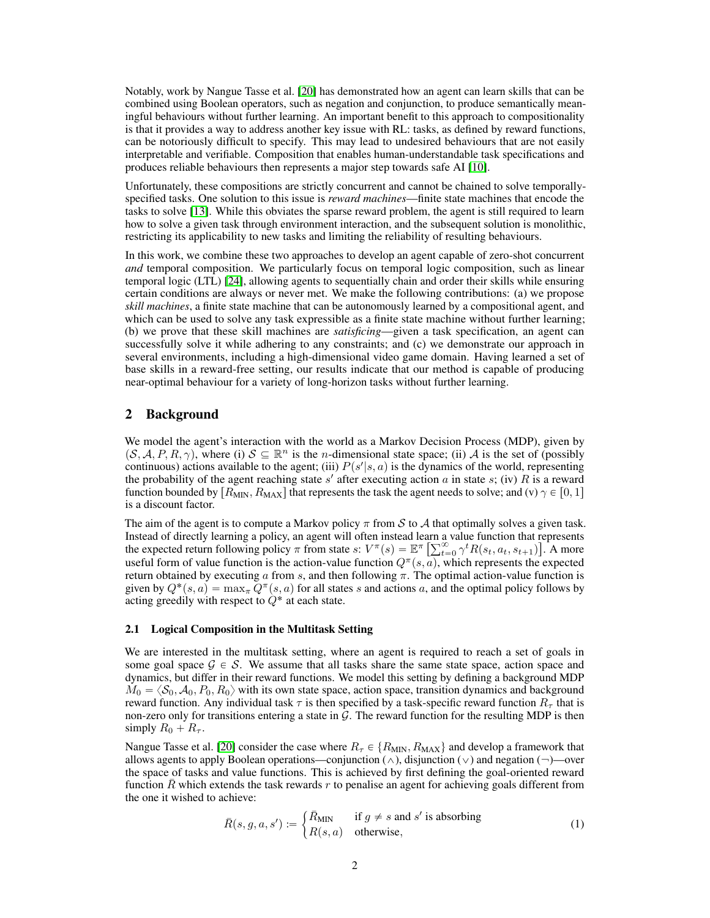Notably, work by Nangue Tasse et al. [\[20\]](#page-10-3) has demonstrated how an agent can learn skills that can be combined using Boolean operators, such as negation and conjunction, to produce semantically meaningful behaviours without further learning. An important benefit to this approach to compositionality is that it provides a way to address another key issue with RL: tasks, as defined by reward functions, can be notoriously difficult to specify. This may lead to undesired behaviours that are not easily interpretable and verifiable. Composition that enables human-understandable task specifications and produces reliable behaviours then represents a major step towards safe AI [\[10\]](#page-10-4).

Unfortunately, these compositions are strictly concurrent and cannot be chained to solve temporallyspecified tasks. One solution to this issue is *reward machines*—finite state machines that encode the tasks to solve [\[13\]](#page-10-5). While this obviates the sparse reward problem, the agent is still required to learn how to solve a given task through environment interaction, and the subsequent solution is monolithic, restricting its applicability to new tasks and limiting the reliability of resulting behaviours.

In this work, we combine these two approaches to develop an agent capable of zero-shot concurrent *and* temporal composition. We particularly focus on temporal logic composition, such as linear temporal logic (LTL) [\[24\]](#page-11-5), allowing agents to sequentially chain and order their skills while ensuring certain conditions are always or never met. We make the following contributions: (a) we propose *skill machines*, a finite state machine that can be autonomously learned by a compositional agent, and which can be used to solve any task expressible as a finite state machine without further learning; (b) we prove that these skill machines are *satisficing*—given a task specification, an agent can successfully solve it while adhering to any constraints; and (c) we demonstrate our approach in several environments, including a high-dimensional video game domain. Having learned a set of base skills in a reward-free setting, our results indicate that our method is capable of producing near-optimal behaviour for a variety of long-horizon tasks without further learning.

# 2 Background

We model the agent's interaction with the world as a Markov Decision Process (MDP), given by  $(S, \mathcal{A}, P, R, \gamma)$ , where (i)  $S \subseteq \mathbb{R}^n$  is the *n*-dimensional state space; (ii) A is the set of (possibly continuous) actions available to the agent; (iii)  $P(s'|s, a)$  is the dynamics of the world, representing the probability of the agent reaching state s' after executing action a in state s; (iv) R is a reward function bounded by  $R_{\text{MIN}}, R_{\text{MAX}}$  that represents the task the agent needs to solve; and (v)  $\gamma \in [0, 1]$ is a discount factor.

The aim of the agent is to compute a Markov policy  $\pi$  from S to A that optimally solves a given task. Instead of directly learning a policy, an agent will often instead learn a value function that represents Instead of directly learning a policy, an agent will often instead learn a value function that the expected return following policy  $\pi$  from state  $s$ :  $V^{\pi}(s) = \mathbb{E}^{\pi} \left[ \sum_{t=0}^{\infty} \gamma^{t} R(s_t, a_t, s_{t+1}) \right]$ ‰ . A more useful form of value function is the action-value function  $Q^{\pi}(s, a)$ , which represents the expected return obtained by executing a from s, and then following  $\pi$ . The optimal action-value function is given by  $Q^*(s, a) = \max_{\pi} Q^{\pi}(s, a)$  for all states s and actions a, and the optimal policy follows by acting greedily with respect to  $Q^*$  at each state.

## 2.1 Logical Composition in the Multitask Setting

We are interested in the multitask setting, where an agent is required to reach a set of goals in some goal space  $G \in S$ . We assume that all tasks share the same state space, action space and dynamics, but differ in their reward functions. We model this setting by defining a background MDP  $M_0 = \langle S_0, A_0, P_0, R_0 \rangle$  with its own state space, action space, transition dynamics and background reward function. Any individual task  $\tau$  is then specified by a task-specific reward function  $R_{\tau}$  that is non-zero only for transitions entering a state in  $G$ . The reward function for the resulting MDP is then simply  $R_0 + R_\tau$ .

Nangue Tasse et al. [\[20\]](#page-10-3) consider the case where  $R_{\tau} \in \{R_{\text{MIN}}, R_{\text{MAX}}\}$  and develop a framework that allows agents to apply Boolean operations—conjunction ( $\wedge$ ), disjunction ( $\vee$ ) and negation ( $\neg$ )—over the space of tasks and value functions. This is achieved by first defining the goal-oriented reward function R which extends the task rewards r to penalise an agent for achieving goals different from the one it wished to achieve: "

<span id="page-1-0"></span>
$$
\bar{R}(s, g, a, s') := \begin{cases} \bar{R}_{\text{MIN}} & \text{if } g \neq s \text{ and } s' \text{ is absorbing} \\ R(s, a) & \text{otherwise,} \end{cases} \tag{1}
$$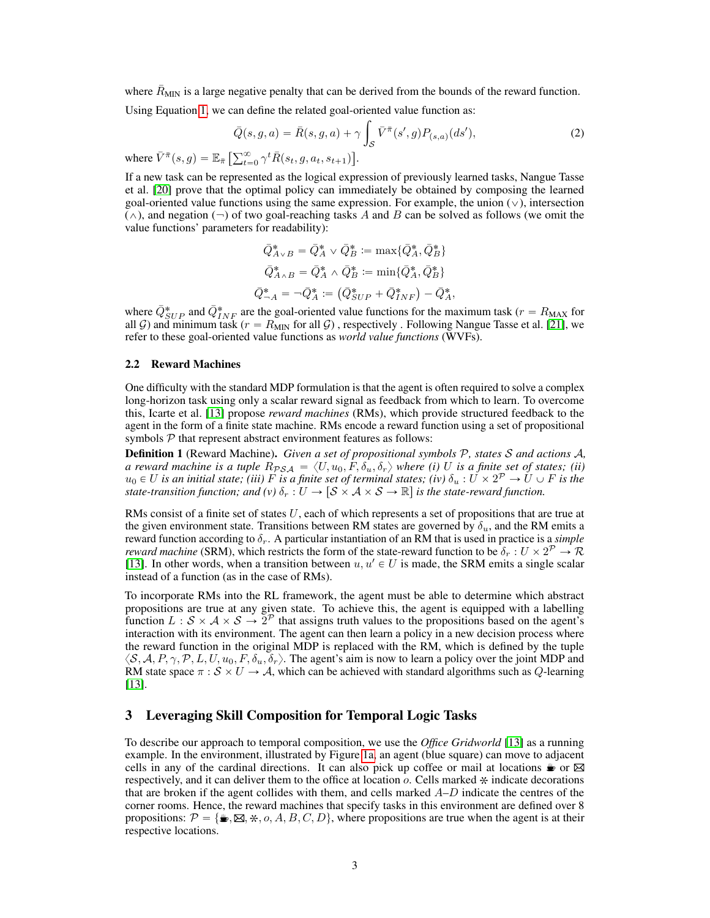where  $\bar{R}_{\text{MIN}}$  is a large negative penalty that can be derived from the bounds of the reward function.

Using Equation [1,](#page-1-0) we can define the related goal-oriented value function as: ż

$$
\bar{Q}(s, g, a) = \bar{R}(s, g, a) + \gamma \int_{\mathcal{S}} \bar{V}^{\bar{\pi}}(s', g) P_{(s, a)}(ds'),
$$
\n<sup>(2)</sup>

where  $\bar{V}^{\bar{\pi}}(s,g) = \mathbb{E}_{\bar{\pi}} \left[ \sum_{t=0}^{\infty} \gamma^t \bar{R}(s_t, g, a_t, s_{t+1}) \right]$ .

If a new task can be represented as the logical expression of previously learned tasks, Nangue Tasse et al. [\[20\]](#page-10-3) prove that the optimal policy can immediately be obtained by composing the learned goal-oriented value functions using the same expression. For example, the union  $(\vee)$ , intersection  $(\wedge)$ , and negation  $(\neg)$  of two goal-reaching tasks A and B can be solved as follows (we omit the value functions' parameters for readability):

$$
\begin{aligned}\n\bar{Q}_{A \vee B}^* &= \bar{Q}_A^* \vee \bar{Q}_B^* := \max \{ \bar{Q}_A^*, \bar{Q}_B^* \} \\
\bar{Q}_{A \wedge B}^* &= \bar{Q}_A^* \wedge \bar{Q}_B^* := \min \{ \bar{Q}_A^*, \bar{Q}_B^* \} \\
\bar{Q}_{\neg A}^* &= \neg \bar{Q}_A^* := (\bar{Q}_{SUP}^* + \bar{Q}_{INF}^*) - \bar{Q}_A^*,\n\end{aligned}
$$

where  $\bar{Q}_{SUP}^*$  and  $\bar{Q}_{INF}^*$  are the goal-oriented value functions for the maximum task ( $r = R_{MAX}$  for all G) and minimum task ( $r = R_{\text{MIN}}$  for all G), respectively. Following Nangue Tasse et al. [\[21\]](#page-10-6), we refer to these goal-oriented value functions as *world value functions* (WVFs).

## 2.2 Reward Machines

One difficulty with the standard MDP formulation is that the agent is often required to solve a complex long-horizon task using only a scalar reward signal as feedback from which to learn. To overcome this, Icarte et al. [\[13\]](#page-10-5) propose *reward machines* (RMs), which provide structured feedback to the agent in the form of a finite state machine. RMs encode a reward function using a set of propositional symbols  $P$  that represent abstract environment features as follows:

Definition 1 (Reward Machine). *Given a set of propositional symbols* P*, states* S *and actions* A*, a reward machine is a tuple*  $R_{PSA} = \langle U, u_0, F, \delta_u, \delta_r \rangle$  where (i) U is a finite set of states; (ii)  $u_0\in U$  *is an initial state; (iii)*  $F$  *is a finite set of terminal states; (iv)*  $\delta_u:U\times 2^{\mathcal{P}}\to U\cup F$  *is the state-transition function; and (v)*  $\delta_r : U \to [S \times A \times S \to \mathbb{R}]$  *is the state-reward function.* 

RMs consist of a finite set of states  $U$ , each of which represents a set of propositions that are true at the given environment state. Transitions between RM states are governed by  $\delta_u$ , and the RM emits a reward function according to  $\delta_r$ . A particular instantiation of an RM that is used in practice is a *simple reward machine* (SRM), which restricts the form of the state-reward function to be  $\delta_r : U \times 2^{\mathcal{P}} \to \mathcal{R}$ [\[13\]](#page-10-5). In other words, when a transition between  $u, u' \in U$  is made, the SRM emits a single scalar instead of a function (as in the case of RMs).

To incorporate RMs into the RL framework, the agent must be able to determine which abstract propositions are true at any given state. To achieve this, the agent is equipped with a labelling function  $L : S \times A \times S \to 2^{\mathcal{P}}$  that assigns truth values to the propositions based on the agent's interaction with its environment. The agent can then learn a policy in a new decision process where the reward function in the original MDP is replaced with the RM, which is defined by the tuple  $\langle S, A, P, \gamma, P, L, U, u_0, F, \delta_u, \delta_r \rangle$ . The agent's aim is now to learn a policy over the joint MDP and RM state space  $\pi : S \times U \to A$ , which can be achieved with standard algorithms such as Q-learning [\[13\]](#page-10-5).

## 3 Leveraging Skill Composition for Temporal Logic Tasks

To describe our approach to temporal composition, we use the *Office Gridworld* [\[13\]](#page-10-5) as a running example. In the environment, illustrated by Figure [1a,](#page-3-0) an agent (blue square) can move to adjacent cells in any of the cardinal directions. It can also pick up coffee or mail at locations  $\bullet$  or  $\boxtimes$ respectively, and it can deliver them to the office at location  $o$ . Cells marked  $\ast$  indicate decorations that are broken if the agent collides with them, and cells marked  $A-D$  indicate the centres of the corner rooms. Hence, the reward machines that specify tasks in this environment are defined over 8 propositions:  $\mathcal{P} = \{\blacktriangleright, \boxtimes, \blacktriangleright, \alpha, A, B, C, D\}$ , where propositions are true when the agent is at their respective locations.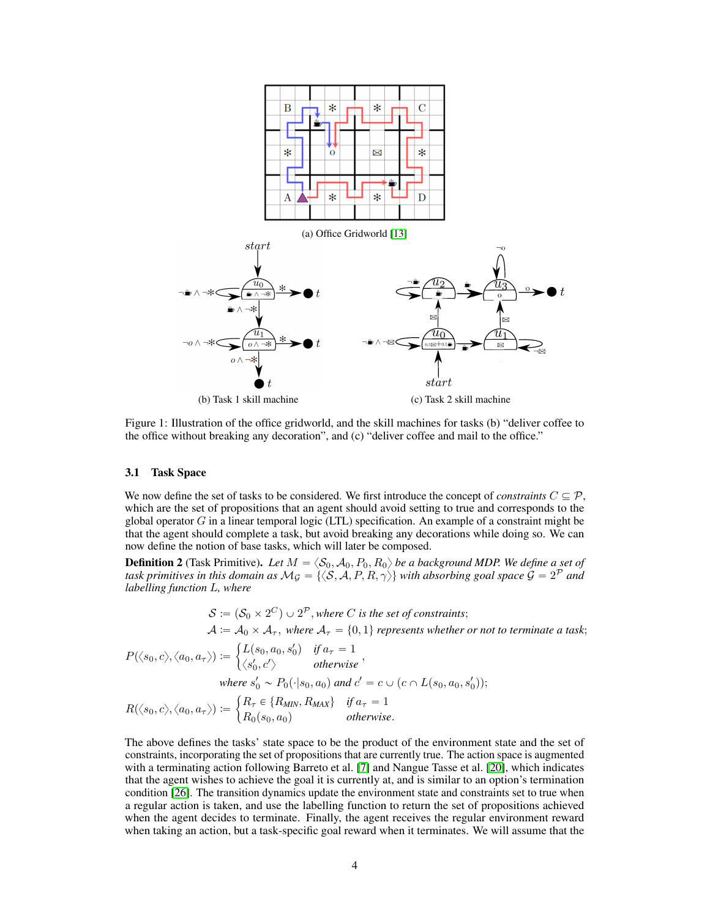<span id="page-3-0"></span>

Figure 1: Illustration of the office gridworld, and the skill machines for tasks (b) "deliver coffee to the office without breaking any decoration", and (c) "deliver coffee and mail to the office."

#### 3.1 Task Space

We now define the set of tasks to be considered. We first introduce the concept of *constraints*  $C \subseteq \mathcal{P}$ , which are the set of propositions that an agent should avoid setting to true and corresponds to the global operator  $G$  in a linear temporal logic (LTL) specification. An example of a constraint might be that the agent should complete a task, but avoid breaking any decorations while doing so. We can now define the notion of base tasks, which will later be composed.

**Definition 2** (Task Primitive). Let  $M = \langle \mathcal{S}_0, \mathcal{A}_0, P_0, R_0 \rangle$  be a background MDP. We define a set of task primitives in this domain as  $\mathcal{M}_\mathcal{G}=\{\langle \mathcal{S}, \mathcal{A}, P, R, \gamma \rangle\}$  with absorbing goal space  $\mathcal{G}=2^\mathcal{P}$  and *labelling function* L*, where*

$$
S := (S_0 \times 2^C) \cup 2^P
$$
, where *C* is the set of constraints;  

$$
A := A_0 \times A_\tau
$$
, where  $A_\tau = \{0, 1\}$  represents whether or not to terminate a task;

$$
P(\langle s_0, c \rangle, \langle a_0, a_\tau \rangle) := \begin{cases} L(s_0, a_0, s_0') & \text{if } a_\tau = 1 \\ \langle s_0', c' \rangle & \text{otherwise} \end{cases},
$$
\n
$$
\text{where } s_0' \sim P_0(\cdot | s_0, a_0) \text{ and } c' = c \cup (c \cap L(s_0, a_0, s_0'));
$$
\n
$$
(R \in \{R, R, a_0\} \text{ if } a_0 = 1).
$$

$$
R(\langle s_0, c \rangle, \langle a_0, a_\tau \rangle) := \begin{cases} R_\tau \in \{R_{MIN}, R_{MAX}\} & \text{if } a_\tau = 1\\ R_0(s_0, a_0) & \text{otherwise.} \end{cases}
$$

The above defines the tasks' state space to be the product of the environment state and the set of constraints, incorporating the set of propositions that are currently true. The action space is augmented with a terminating action following Barreto et al. [\[7\]](#page-10-2) and Nangue Tasse et al. [\[20\]](#page-10-3), which indicates that the agent wishes to achieve the goal it is currently at, and is similar to an option's termination condition [\[26\]](#page-11-0). The transition dynamics update the environment state and constraints set to true when a regular action is taken, and use the labelling function to return the set of propositions achieved when the agent decides to terminate. Finally, the agent receives the regular environment reward when taking an action, but a task-specific goal reward when it terminates. We will assume that the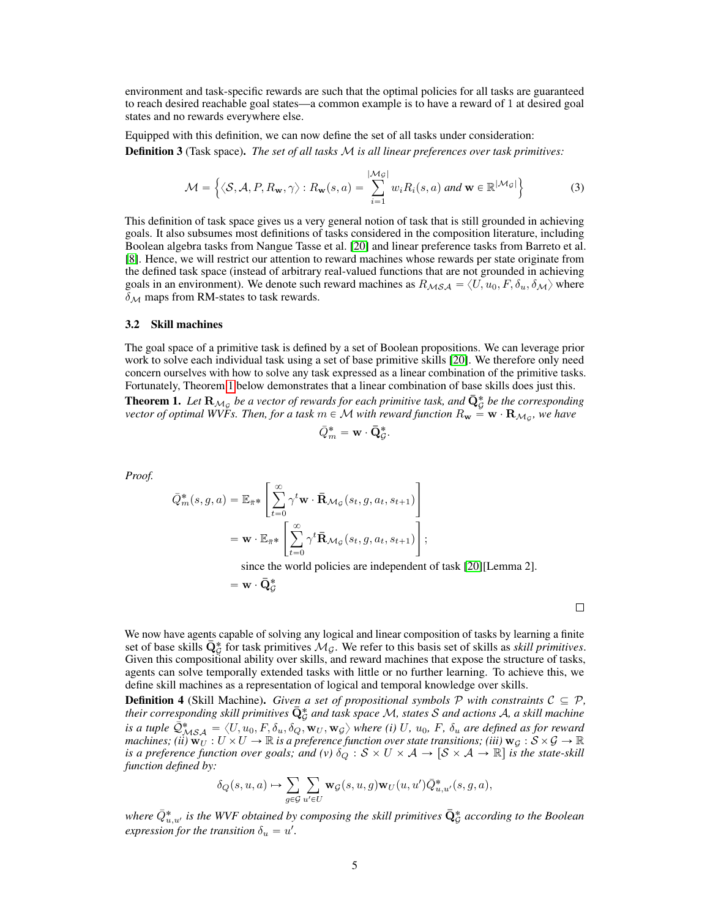environment and task-specific rewards are such that the optimal policies for all tasks are guaranteed to reach desired reachable goal states—a common example is to have a reward of 1 at desired goal states and no rewards everywhere else.

Equipped with this definition, we can now define the set of all tasks under consideration: Definition 3 (Task space). *The set of all tasks* M *is all linear preferences over task primitives:*

$$
\mathcal{M} = \left\{ \langle \mathcal{S}, \mathcal{A}, P, R_{\mathbf{w}}, \gamma \rangle : R_{\mathbf{w}}(s, a) = \sum_{i=1}^{|\mathcal{M}_{\mathcal{G}}|} w_i R_i(s, a) \text{ and } \mathbf{w} \in \mathbb{R}^{|\mathcal{M}_{\mathcal{G}}|} \right\}
$$
(3)

This definition of task space gives us a very general notion of task that is still grounded in achieving goals. It also subsumes most definitions of tasks considered in the composition literature, including Boolean algebra tasks from Nangue Tasse et al. [\[20\]](#page-10-3) and linear preference tasks from Barreto et al. [\[8\]](#page-10-7). Hence, we will restrict our attention to reward machines whose rewards per state originate from the defined task space (instead of arbitrary real-valued functions that are not grounded in achieving goals in an environment). We denote such reward machines as  $R_{\mathcal{MSA}} = \langle U, u_0, F, \delta_u, \delta_{\mathcal{M}} \rangle$  where  $\delta_{\mathcal{M}}$  maps from RM-states to task rewards.

## 3.2 Skill machines

The goal space of a primitive task is defined by a set of Boolean propositions. We can leverage prior work to solve each individual task using a set of base primitive skills [\[20\]](#page-10-3). We therefore only need concern ourselves with how to solve any task expressed as a linear combination of the primitive tasks. Fortunately, Theorem [1](#page-4-0) below demonstrates that a linear combination of base skills does just this.

<span id="page-4-0"></span>**Theorem 1.** Let  $\mathbf{R}_{\mathcal{M}_{\mathcal{G}}}$  be a vector of rewards for each primitive task, and  $\bar{\mathbf{Q}}^*_{\mathcal{G}}$  be the corresponding *vector of optimal WVFs. Then, for a task*  $m \in \mathcal{M}$  *with reward function*  $R_{\mathbf{w}} \stackrel{.}{=} \mathbf{w} \cdot \mathbf{R}_{\mathcal{M}_\mathcal{G}}$ *, we have* 

$$
\bar{Q}_m^* = \mathbf{w} \cdot \bar{\mathbf{Q}}_{\mathcal{G}}^*
$$

*Proof.*

$$
\bar{Q}_{m}^{*}(s, g, a) = \mathbb{E}_{\bar{\pi}^{*}} \left[ \sum_{t=0}^{\infty} \gamma^{t} \mathbf{w} \cdot \bar{\mathbf{R}}_{\mathcal{M}_{\mathcal{G}}}(s_{t}, g, a_{t}, s_{t+1}) \right]
$$

$$
= \mathbf{w} \cdot \mathbb{E}_{\bar{\pi}^{*}} \left[ \sum_{t=0}^{\infty} \gamma^{t} \bar{\mathbf{R}}_{\mathcal{M}_{\mathcal{G}}}(s_{t}, g, a_{t}, s_{t+1}) \right];
$$

since the world policies are independent of task [\[20\]](#page-10-3)[Lemma 2].

.

for the control of the control of the control of the control of the control of the control of the control of the control of the control of the control of the control of the control of the control of the control of the cont

$$
= \mathbf{w} \cdot \bar{\mathbf{Q}}^*_{\mathcal{G}}
$$

 $\Box$ 

We now have agents capable of solving any logical and linear composition of tasks by learning a finite set of base skills  $\bar{Q}_{\mathcal{G}}^*$  for task primitives  $\mathcal{M}_{\mathcal{G}}$ . We refer to this basis set of skills as *skill primitives*. Given this compositional ability over skills, and reward machines that expose the structure of tasks, agents can solve temporally extended tasks with little or no further learning. To achieve this, we define skill machines as a representation of logical and temporal knowledge over skills.

<span id="page-4-1"></span>**Definition 4** (Skill Machine). *Given a set of propositional symbols* P *with constraints*  $C \subseteq P$ *,* their corresponding skill primitives  $\bar{\mathbf{Q}}^{\text{*}}_{\mathcal{G}}$  and task space M, states S and actions A, a skill machine *is a tuple*  $\bar{Q}^*_{MSA} = \langle U, u_0, F, \delta_u, \delta_Q, \mathbf{w}_U, \mathbf{w}_G \rangle$  *where (i)* U,  $u_0$ , F,  $\delta_u$  are defined as for reward *machines; (ii)*  $\mathbf{w}_U : U \times U \to \mathbb{R}$  *is a preference function over state transitions; (iii)*  $\mathbf{w}_G : S \times G \to \mathbb{R}$ *is a preference function over goals; and (v)*  $\delta_Q : S \times U \times A \to [S \times A \to \mathbb{R}]$  *is the state-skill function defined by:*

$$
\delta_Q(s, u, a) \mapsto \sum_{g \in \mathcal{G}} \sum_{u' \in U} \mathbf{w}_{\mathcal{G}}(s, u, g) \mathbf{w}_U(u, u') \overline{Q}_{u, u'}^*(s, g, a),
$$

where  $\bar{Q}_{u,u'}^*$  is the WVF obtained by composing the skill primitives  $\bar{\mathbf{Q}}^*_\mathcal{G}$  according to the Boolean  $expression for the transition \delta_u = u'.$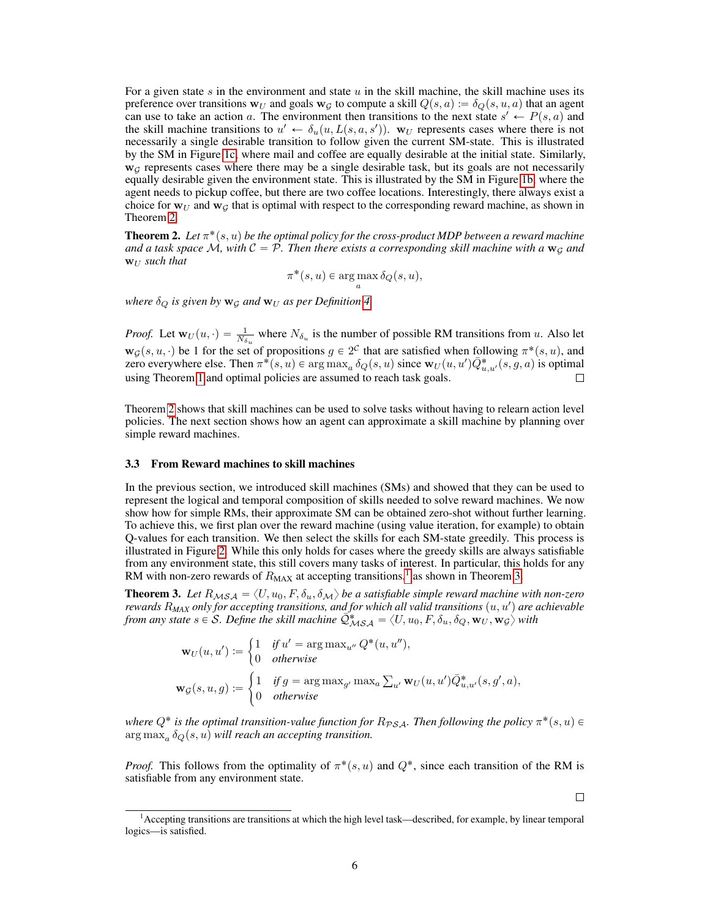For a given state s in the environment and state  $u$  in the skill machine, the skill machine uses its preference over transitions  $w_U$  and goals  $w_g$  to compute a skill  $Q(s, a) := \delta_Q(s, u, a)$  that an agent can use to take an action a. The environment then transitions to the next state  $s' \leftarrow P(s, a)$  and the skill machine transitions to  $u' \leftarrow \delta_u(u, L(s, a, s'))$ . W<sub>U</sub> represents cases where there is not necessarily a single desirable transition to follow given the current SM-state. This is illustrated by the SM in Figure [1c,](#page-3-0) where mail and coffee are equally desirable at the initial state. Similarly,  $w_G$  represents cases where there may be a single desirable task, but its goals are not necessarily equally desirable given the environment state. This is illustrated by the SM in Figure [1b,](#page-3-0) where the agent needs to pickup coffee, but there are two coffee locations. Interestingly, there always exist a choice for  $w_U$  and  $w_G$  that is optimal with respect to the corresponding reward machine, as shown in Theorem [2.](#page-5-0)

<span id="page-5-0"></span>**Theorem 2.** Let  $\pi^*(s, u)$  be the optimal policy for the cross-product MDP between a reward machine and a task space  $\mathcal{M}$ , with  $\mathcal{C} = \mathcal{P}$ . Then there exists a corresponding skill machine with a  $\mathbf{w}_G$  and  $W_{II}$  *such that* 

 $\pi^*(s, u) \in \argmax_a \delta_Q(s, u),$ 

*where*  $\delta_Q$  *is given by*  $\mathbf{w}_G$  *and*  $\mathbf{w}_U$  *as per Definition [4.](#page-4-1)* 

*Proof.* Let  $w_U(u, \cdot) = \frac{1}{N_{\delta_u}}$  where  $N_{\delta_u}$  is the number of possible RM transitions from u. Also let  $\mathbf{w}_\mathcal{G}(s, u, \cdot)$  be 1 for the set of propositions  $g \in 2^C$  that are satisfied when following  $\pi^*(s, u)$ , and zero everywhere else. Then  $\pi^*(s, u) \in \argmax_a \delta_Q(s, u)$  since  $w_U(u, u') \overline{Q}^*_{u, u'}(s, g, a)$  is optimal using Theorem [1](#page-4-0) and optimal policies are assumed to reach task goals.

Theorem [2](#page-5-0) shows that skill machines can be used to solve tasks without having to relearn action level policies. The next section shows how an agent can approximate a skill machine by planning over simple reward machines.

#### 3.3 From Reward machines to skill machines

In the previous section, we introduced skill machines (SMs) and showed that they can be used to represent the logical and temporal composition of skills needed to solve reward machines. We now show how for simple RMs, their approximate SM can be obtained zero-shot without further learning. To achieve this, we first plan over the reward machine (using value iteration, for example) to obtain Q-values for each transition. We then select the skills for each SM-state greedily. This process is illustrated in Figure [2.](#page-6-0) While this only holds for cases where the greedy skills are always satisfiable from any environment state, this still covers many tasks of interest. In particular, this holds for any RM with non-zero rewards of  $R_{MAX}$  at accepting transitions,<sup>[1](#page-5-1)</sup> as shown in Theorem [3.](#page-5-2)

<span id="page-5-2"></span>**Theorem 3.** Let  $R_{MSA} = \langle U, u_0, F, \delta_u, \delta_M \rangle$  be a satisfiable simple reward machine with non-zero *rewards*  $R_{MAX}$  *only for accepting transitions, and for which all valid transitions*  $(u, u')$  *are achievable from any state*  $s \in S$ *. Define the skill machine*  $\mathcal{Q}_{MSA}^* = \langle U, u_0, F, \delta_u, \delta_Q, \mathbf{w}_U, \mathbf{w}_G \rangle$  with

$$
\mathbf{w}_U(u, u') := \begin{cases} 1 & \text{if } u' = \arg \max_{u''} Q^*(u, u''), \\ 0 & \text{otherwise} \end{cases}
$$

$$
\mathbf{w}_\mathcal{G}(s, u, g) := \begin{cases} 1 & \text{if } g = \arg \max_{g'} \max_a \sum_{u'} \mathbf{w}_U(u, u') \bar{Q}^*_{u, u'}(s, g', a), \\ 0 & \text{otherwise} \end{cases}
$$

where  $Q^*$  is the optimal transition-value function for  $R_{PSA}$ . Then following the policy  $\pi^*(s, u) \in$  $\argmax_a \delta_Q(s,u)$  will reach an accepting transition.

*Proof.* This follows from the optimality of  $\pi^*(s, u)$  and  $Q^*$ , since each transition of the RM is satisfiable from any environment state.

 $\Box$ 

<span id="page-5-1"></span><sup>1</sup>Accepting transitions are transitions at which the high level task—described, for example, by linear temporal logics—is satisfied.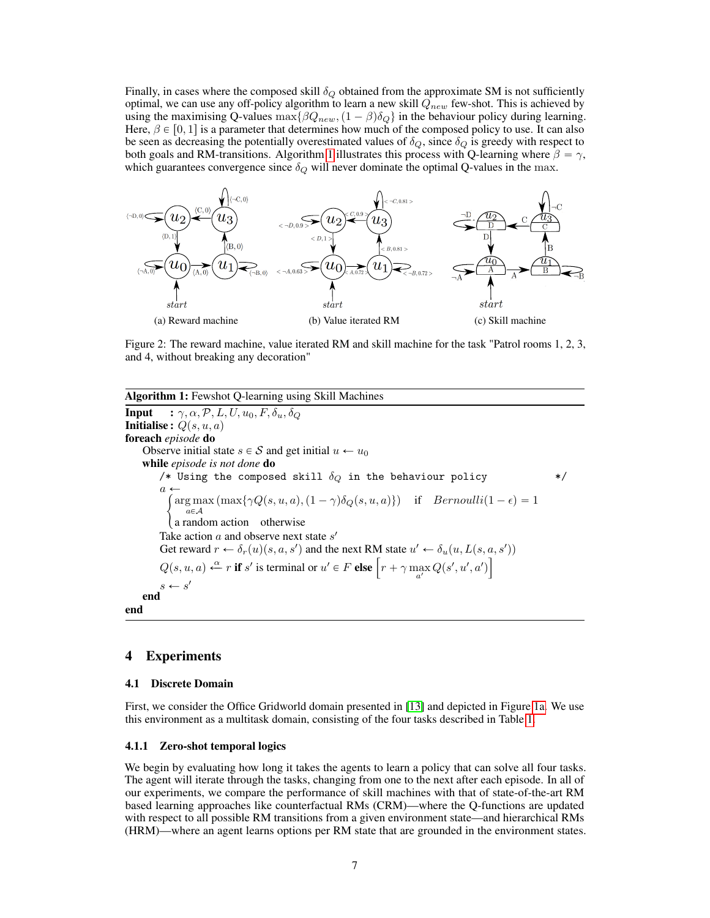Finally, in cases where the composed skill  $\delta_Q$  obtained from the approximate SM is not sufficiently optimal, we can use any off-policy algorithm to learn a new skill  $Q_{new}$  few-shot. This is achieved by using the maximising Q-values  $\max{\{\beta Q_{new}, (1 - \beta)\delta_Q\}}$  in the behaviour policy during learning. Here,  $\beta \in [0, 1]$  is a parameter that determines how much of the composed policy to use. It can also be seen as decreasing the potentially overestimated values of  $\delta_Q$ , since  $\delta_Q$  is greedy with respect to both goals and RM-transitions. Algorithm [1](#page-6-1) illustrates this process with Q-learning where  $\beta = \gamma$ , which guarantees convergence since  $\delta_Q$  will never dominate the optimal Q-values in the max.

<span id="page-6-0"></span>

Figure 2: The reward machine, value iterated RM and skill machine for the task "Patrol rooms 1, 2, 3, and 4, without breaking any decoration"

Algorithm 1: Fewshot Q-learning using Skill Machines **Input** :  $\gamma$ ,  $\alpha$ ,  $\mathcal{P}$ ,  $L$ ,  $U$ ,  $u_0$ ,  $F$ ,  $\delta_u$ ,  $\delta_Q$ **Initialise :**  $Q(s, u, a)$ foreach *episode* do Observe initial state  $s \in S$  and get initial  $u \leftarrow u_0$ while *episode is not done* do /\* Using the composed skill  $\delta_Q$  in the behaviour policy  $*$ / a  $\div$  $\arg \max (\max\{\gamma Q(s, u, a), (1 - \gamma)\delta_Q(s, u, a)\})$  if  $Bernoulli(1 - \epsilon) = 1$  $a \in \mathcal{A}$ a random action otherwise Take action  $a$  and observe next state  $s'$ Get reward  $r \leftarrow \delta_r(u)(s, a, s')$  and the next RM state  $u' \leftarrow \delta_u(u, L(s, a, s'))$ Get reward  $r \leftarrow \delta_r(u)(s, a, s')$  and the next RM state  $u' \leftarrow \delta_u(u, L(s, a))$ <br>  $Q(s, u, a) \leftarrow r$  if s' is terminal or  $u' \in F$  else  $\left[r + \gamma \max_{a'} Q(s', u', a')\right]$  $s \leftarrow s'$ end end

# <span id="page-6-1"></span>4 Experiments

#### 4.1 Discrete Domain

First, we consider the Office Gridworld domain presented in [\[13\]](#page-10-5) and depicted in Figure [1a.](#page-3-0) We use this environment as a multitask domain, consisting of the four tasks described in Table [1.](#page-7-0)

#### 4.1.1 Zero-shot temporal logics

We begin by evaluating how long it takes the agents to learn a policy that can solve all four tasks. The agent will iterate through the tasks, changing from one to the next after each episode. In all of our experiments, we compare the performance of skill machines with that of state-of-the-art RM based learning approaches like counterfactual RMs (CRM)—where the Q-functions are updated with respect to all possible RM transitions from a given environment state—and hierarchical RMs (HRM)—where an agent learns options per RM state that are grounded in the environment states.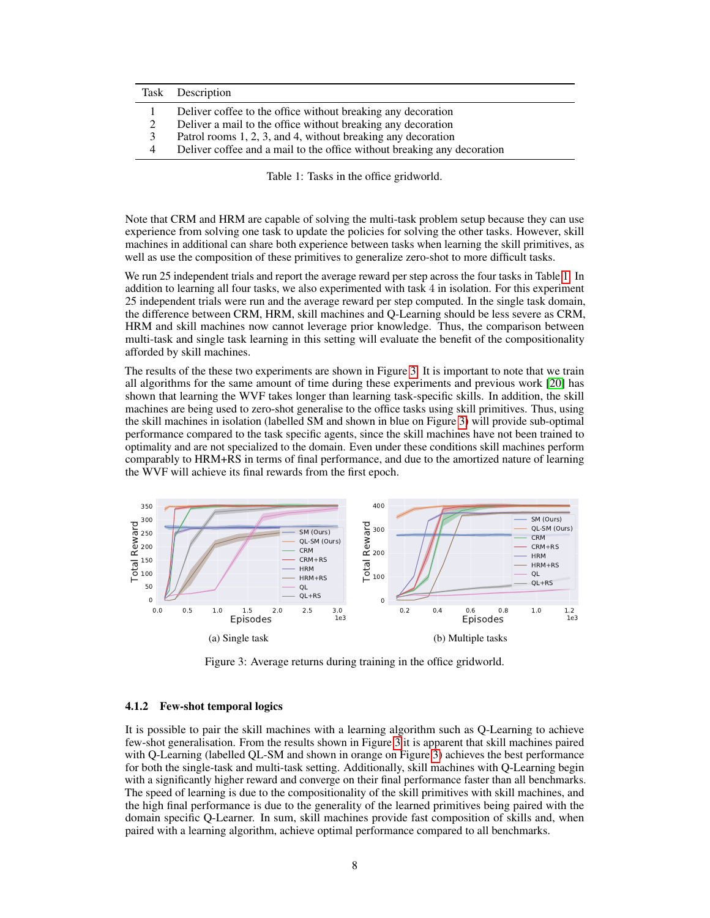<span id="page-7-0"></span>

|   | Task Description                                                        |
|---|-------------------------------------------------------------------------|
|   | Deliver coffee to the office without breaking any decoration            |
|   | Deliver a mail to the office without breaking any decoration            |
| 3 | Patrol rooms 1, 2, 3, and 4, without breaking any decoration            |
| 4 | Deliver coffee and a mail to the office without breaking any decoration |

Table 1: Tasks in the office gridworld.

Note that CRM and HRM are capable of solving the multi-task problem setup because they can use experience from solving one task to update the policies for solving the other tasks. However, skill machines in additional can share both experience between tasks when learning the skill primitives, as well as use the composition of these primitives to generalize zero-shot to more difficult tasks.

We run 25 independent trials and report the average reward per step across the four tasks in Table [1.](#page-7-0) In addition to learning all four tasks, we also experimented with task 4 in isolation. For this experiment 25 independent trials were run and the average reward per step computed. In the single task domain, the difference between CRM, HRM, skill machines and Q-Learning should be less severe as CRM, HRM and skill machines now cannot leverage prior knowledge. Thus, the comparison between multi-task and single task learning in this setting will evaluate the benefit of the compositionality afforded by skill machines.

The results of the these two experiments are shown in Figure [3.](#page-7-1) It is important to note that we train all algorithms for the same amount of time during these experiments and previous work [\[20\]](#page-10-3) has shown that learning the WVF takes longer than learning task-specific skills. In addition, the skill machines are being used to zero-shot generalise to the office tasks using skill primitives. Thus, using the skill machines in isolation (labelled SM and shown in blue on Figure [3\)](#page-7-1) will provide sub-optimal performance compared to the task specific agents, since the skill machines have not been trained to optimality and are not specialized to the domain. Even under these conditions skill machines perform comparably to HRM+RS in terms of final performance, and due to the amortized nature of learning the WVF will achieve its final rewards from the first epoch.

<span id="page-7-1"></span>

Figure 3: Average returns during training in the office gridworld.

## <span id="page-7-2"></span>4.1.2 Few-shot temporal logics

It is possible to pair the skill machines with a learning algorithm such as Q-Learning to achieve few-shot generalisation. From the results shown in Figure [3](#page-7-1) it is apparent that skill machines paired with Q-Learning (labelled QL-SM and shown in orange on Figure [3\)](#page-7-1) achieves the best performance for both the single-task and multi-task setting. Additionally, skill machines with Q-Learning begin with a significantly higher reward and converge on their final performance faster than all benchmarks. The speed of learning is due to the compositionality of the skill primitives with skill machines, and the high final performance is due to the generality of the learned primitives being paired with the domain specific Q-Learner. In sum, skill machines provide fast composition of skills and, when paired with a learning algorithm, achieve optimal performance compared to all benchmarks.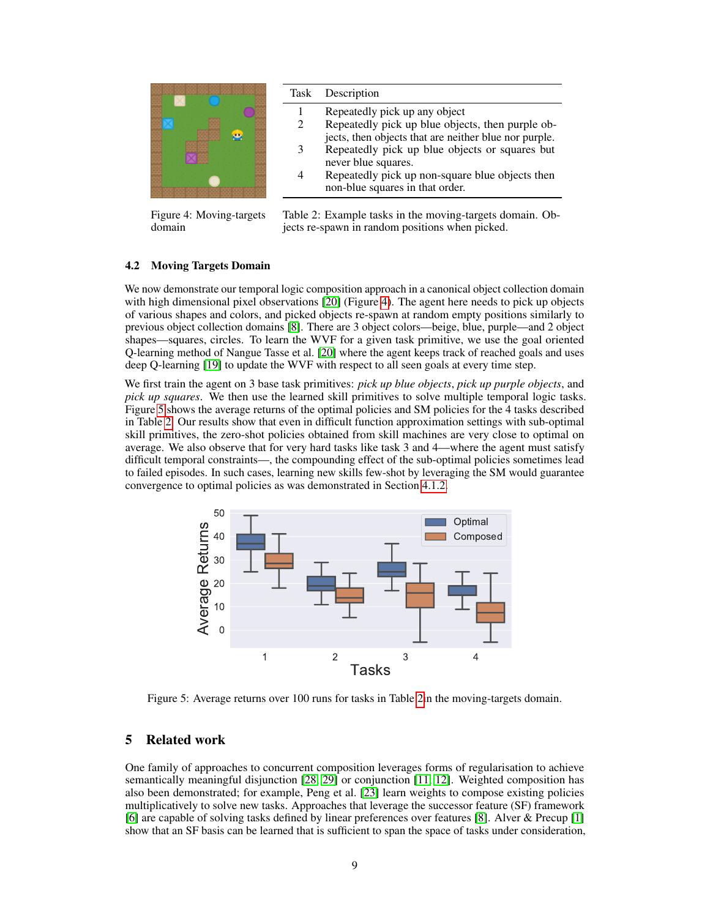<span id="page-8-0"></span>

Figure 4: Moving-targets domain

Table 2: Example tasks in the moving-targets domain. Objects re-spawn in random positions when picked.

## 4.2 Moving Targets Domain

We now demonstrate our temporal logic composition approach in a canonical object collection domain with high dimensional pixel observations [\[20\]](#page-10-3) (Figure [4\)](#page-8-0). The agent here needs to pick up objects of various shapes and colors, and picked objects re-spawn at random empty positions similarly to previous object collection domains [\[8\]](#page-10-7). There are 3 object colors—beige, blue, purple—and 2 object shapes—squares, circles. To learn the WVF for a given task primitive, we use the goal oriented Q-learning method of Nangue Tasse et al. [\[20\]](#page-10-3) where the agent keeps track of reached goals and uses deep Q-learning [\[19\]](#page-10-8) to update the WVF with respect to all seen goals at every time step.

We first train the agent on 3 base task primitives: *pick up blue objects*, *pick up purple objects*, and *pick up squares*. We then use the learned skill primitives to solve multiple temporal logic tasks. Figure [5](#page-8-1) shows the average returns of the optimal policies and SM policies for the 4 tasks described in Table [2.](#page-8-0) Our results show that even in difficult function approximation settings with sub-optimal skill primitives, the zero-shot policies obtained from skill machines are very close to optimal on average. We also observe that for very hard tasks like task 3 and 4—where the agent must satisfy difficult temporal constraints—, the compounding effect of the sub-optimal policies sometimes lead to failed episodes. In such cases, learning new skills few-shot by leveraging the SM would guarantee convergence to optimal policies as was demonstrated in Section [4.1.2.](#page-7-2)

<span id="page-8-1"></span>

Figure 5: Average returns over 100 runs for tasks in Table [2i](#page-8-0)n the moving-targets domain.

# 5 Related work

One family of approaches to concurrent composition leverages forms of regularisation to achieve semantically meaningful disjunction [\[28,](#page-11-2) [29\]](#page-11-4) or conjunction [\[11,](#page-10-9) [12\]](#page-10-10). Weighted composition has also been demonstrated; for example, Peng et al. [\[23\]](#page-11-6) learn weights to compose existing policies multiplicatively to solve new tasks. Approaches that leverage the successor feature (SF) framework [\[6\]](#page-10-11) are capable of solving tasks defined by linear preferences over features [\[8\]](#page-10-7). Alver & Precup [\[1\]](#page-9-1) show that an SF basis can be learned that is sufficient to span the space of tasks under consideration,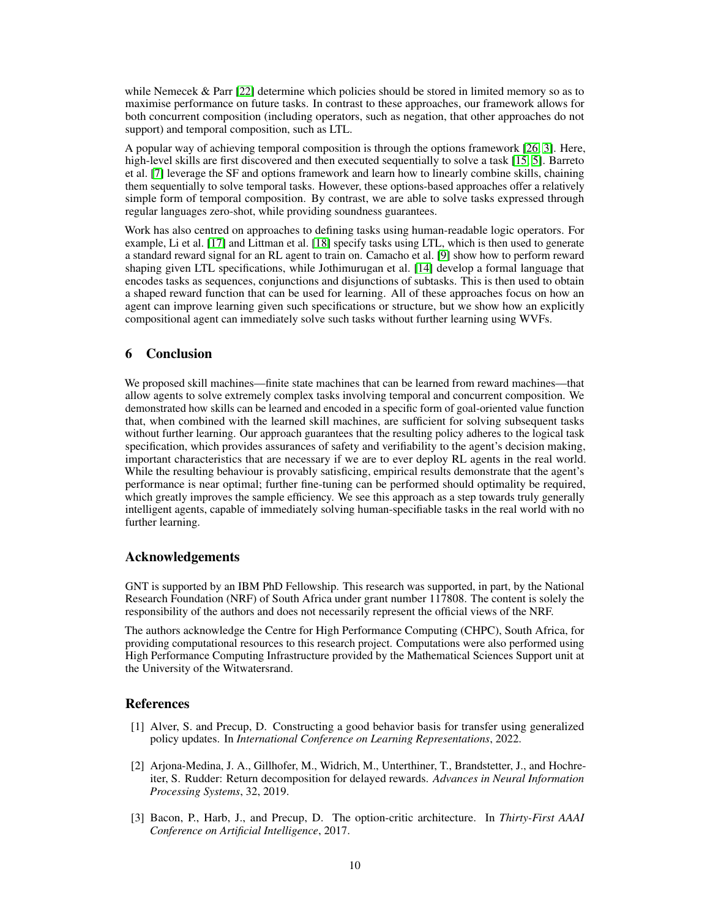while Nemecek & Parr [\[22\]](#page-11-7) determine which policies should be stored in limited memory so as to maximise performance on future tasks. In contrast to these approaches, our framework allows for both concurrent composition (including operators, such as negation, that other approaches do not support) and temporal composition, such as LTL.

A popular way of achieving temporal composition is through the options framework [\[26,](#page-11-0) [3\]](#page-9-2). Here, high-level skills are first discovered and then executed sequentially to solve a task [\[15,](#page-10-12) [5\]](#page-10-13). Barreto et al. [\[7\]](#page-10-2) leverage the SF and options framework and learn how to linearly combine skills, chaining them sequentially to solve temporal tasks. However, these options-based approaches offer a relatively simple form of temporal composition. By contrast, we are able to solve tasks expressed through regular languages zero-shot, while providing soundness guarantees.

Work has also centred on approaches to defining tasks using human-readable logic operators. For example, Li et al. [\[17\]](#page-10-14) and Littman et al. [\[18\]](#page-10-15) specify tasks using LTL, which is then used to generate a standard reward signal for an RL agent to train on. Camacho et al. [\[9\]](#page-10-16) show how to perform reward shaping given LTL specifications, while Jothimurugan et al. [\[14\]](#page-10-17) develop a formal language that encodes tasks as sequences, conjunctions and disjunctions of subtasks. This is then used to obtain a shaped reward function that can be used for learning. All of these approaches focus on how an agent can improve learning given such specifications or structure, but we show how an explicitly compositional agent can immediately solve such tasks without further learning using WVFs.

# 6 Conclusion

We proposed skill machines—finite state machines that can be learned from reward machines—that allow agents to solve extremely complex tasks involving temporal and concurrent composition. We demonstrated how skills can be learned and encoded in a specific form of goal-oriented value function that, when combined with the learned skill machines, are sufficient for solving subsequent tasks without further learning. Our approach guarantees that the resulting policy adheres to the logical task specification, which provides assurances of safety and verifiability to the agent's decision making, important characteristics that are necessary if we are to ever deploy RL agents in the real world. While the resulting behaviour is provably satisficing, empirical results demonstrate that the agent's performance is near optimal; further fine-tuning can be performed should optimality be required, which greatly improves the sample efficiency. We see this approach as a step towards truly generally intelligent agents, capable of immediately solving human-specifiable tasks in the real world with no further learning.

## Acknowledgements

GNT is supported by an IBM PhD Fellowship. This research was supported, in part, by the National Research Foundation (NRF) of South Africa under grant number 117808. The content is solely the responsibility of the authors and does not necessarily represent the official views of the NRF.

The authors acknowledge the Centre for High Performance Computing (CHPC), South Africa, for providing computational resources to this research project. Computations were also performed using High Performance Computing Infrastructure provided by the Mathematical Sciences Support unit at the University of the Witwatersrand.

## References

- <span id="page-9-1"></span>[1] Alver, S. and Precup, D. Constructing a good behavior basis for transfer using generalized policy updates. In *International Conference on Learning Representations*, 2022.
- <span id="page-9-0"></span>[2] Arjona-Medina, J. A., Gillhofer, M., Widrich, M., Unterthiner, T., Brandstetter, J., and Hochreiter, S. Rudder: Return decomposition for delayed rewards. *Advances in Neural Information Processing Systems*, 32, 2019.
- <span id="page-9-2"></span>[3] Bacon, P., Harb, J., and Precup, D. The option-critic architecture. In *Thirty-First AAAI Conference on Artificial Intelligence*, 2017.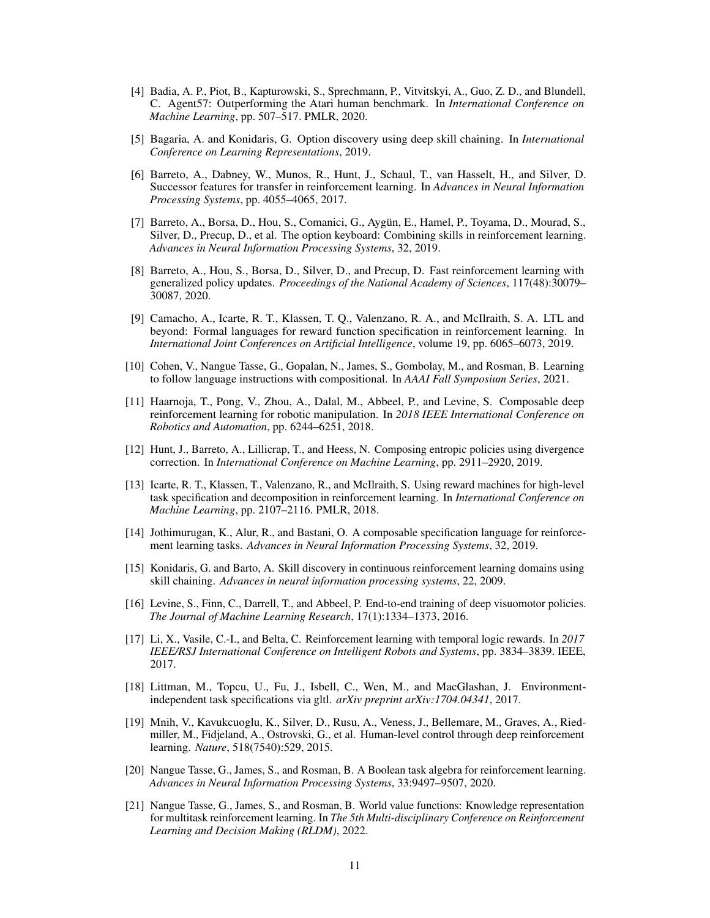- <span id="page-10-0"></span>[4] Badia, A. P., Piot, B., Kapturowski, S., Sprechmann, P., Vitvitskyi, A., Guo, Z. D., and Blundell, C. Agent57: Outperforming the Atari human benchmark. In *International Conference on Machine Learning*, pp. 507–517. PMLR, 2020.
- <span id="page-10-13"></span>[5] Bagaria, A. and Konidaris, G. Option discovery using deep skill chaining. In *International Conference on Learning Representations*, 2019.
- <span id="page-10-11"></span>[6] Barreto, A., Dabney, W., Munos, R., Hunt, J., Schaul, T., van Hasselt, H., and Silver, D. Successor features for transfer in reinforcement learning. In *Advances in Neural Information Processing Systems*, pp. 4055–4065, 2017.
- <span id="page-10-2"></span>[7] Barreto, A., Borsa, D., Hou, S., Comanici, G., Aygün, E., Hamel, P., Toyama, D., Mourad, S., Silver, D., Precup, D., et al. The option keyboard: Combining skills in reinforcement learning. *Advances in Neural Information Processing Systems*, 32, 2019.
- <span id="page-10-7"></span>[8] Barreto, A., Hou, S., Borsa, D., Silver, D., and Precup, D. Fast reinforcement learning with generalized policy updates. *Proceedings of the National Academy of Sciences*, 117(48):30079– 30087, 2020.
- <span id="page-10-16"></span>[9] Camacho, A., Icarte, R. T., Klassen, T. Q., Valenzano, R. A., and McIlraith, S. A. LTL and beyond: Formal languages for reward function specification in reinforcement learning. In *International Joint Conferences on Artificial Intelligence*, volume 19, pp. 6065–6073, 2019.
- <span id="page-10-4"></span>[10] Cohen, V., Nangue Tasse, G., Gopalan, N., James, S., Gombolay, M., and Rosman, B. Learning to follow language instructions with compositional. In *AAAI Fall Symposium Series*, 2021.
- <span id="page-10-9"></span>[11] Haarnoja, T., Pong, V., Zhou, A., Dalal, M., Abbeel, P., and Levine, S. Composable deep reinforcement learning for robotic manipulation. In *2018 IEEE International Conference on Robotics and Automation*, pp. 6244–6251, 2018.
- <span id="page-10-10"></span>[12] Hunt, J., Barreto, A., Lillicrap, T., and Heess, N. Composing entropic policies using divergence correction. In *International Conference on Machine Learning*, pp. 2911–2920, 2019.
- <span id="page-10-5"></span>[13] Icarte, R. T., Klassen, T., Valenzano, R., and McIlraith, S. Using reward machines for high-level task specification and decomposition in reinforcement learning. In *International Conference on Machine Learning*, pp. 2107–2116. PMLR, 2018.
- <span id="page-10-17"></span>[14] Jothimurugan, K., Alur, R., and Bastani, O. A composable specification language for reinforcement learning tasks. *Advances in Neural Information Processing Systems*, 32, 2019.
- <span id="page-10-12"></span>[15] Konidaris, G. and Barto, A. Skill discovery in continuous reinforcement learning domains using skill chaining. *Advances in neural information processing systems*, 22, 2009.
- <span id="page-10-1"></span>[16] Levine, S., Finn, C., Darrell, T., and Abbeel, P. End-to-end training of deep visuomotor policies. *The Journal of Machine Learning Research*, 17(1):1334–1373, 2016.
- <span id="page-10-14"></span>[17] Li, X., Vasile, C.-I., and Belta, C. Reinforcement learning with temporal logic rewards. In *2017 IEEE/RSJ International Conference on Intelligent Robots and Systems*, pp. 3834–3839. IEEE, 2017.
- <span id="page-10-15"></span>[18] Littman, M., Topcu, U., Fu, J., Isbell, C., Wen, M., and MacGlashan, J. Environmentindependent task specifications via gltl. *arXiv preprint arXiv:1704.04341*, 2017.
- <span id="page-10-8"></span>[19] Mnih, V., Kavukcuoglu, K., Silver, D., Rusu, A., Veness, J., Bellemare, M., Graves, A., Riedmiller, M., Fidjeland, A., Ostrovski, G., et al. Human-level control through deep reinforcement learning. *Nature*, 518(7540):529, 2015.
- <span id="page-10-3"></span>[20] Nangue Tasse, G., James, S., and Rosman, B. A Boolean task algebra for reinforcement learning. *Advances in Neural Information Processing Systems*, 33:9497–9507, 2020.
- <span id="page-10-6"></span>[21] Nangue Tasse, G., James, S., and Rosman, B. World value functions: Knowledge representation for multitask reinforcement learning. In *The 5th Multi-disciplinary Conference on Reinforcement Learning and Decision Making (RLDM)*, 2022.